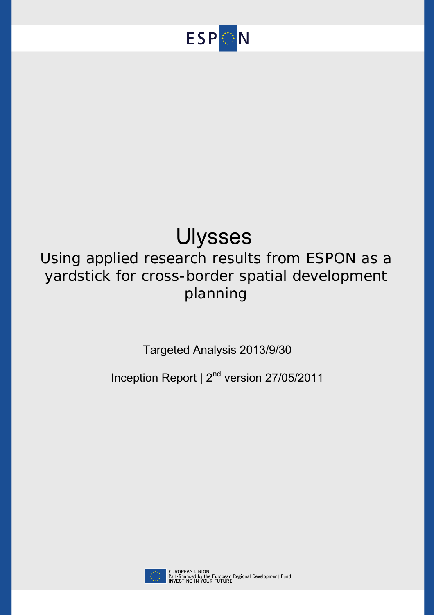

# Ulysses

## Using applied research results from ESPON as a yardstick for cross-border spatial development planning

Targeted Analysis 2013/9/30

Inception Report  $\vert 2^{nd}$  version 27/05/2011

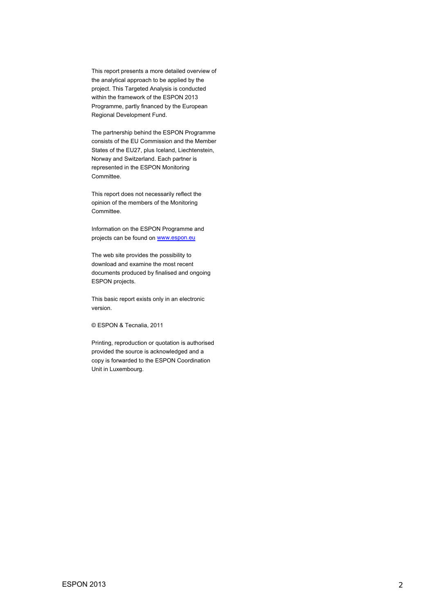This report presents a more detailed overview of the analytical approach to be applied by the project. This Targeted Analysis is conducted within the framework of the ESPON 2013 Programme, partly financed by the European Regional Development Fund.

The partnership behind the ESPON Programme consists of the EU Commission and the Member States of the EU27, plus Iceland, Liechtenstein, Norway and Switzerland. Each partner is represented in the ESPON Monitoring Committee.

This report does not necessarily reflect the opinion of the members of the Monitoring Committee.

Information on the ESPON Programme and projects can be found on www.espon.eu

The web site provides the possibility to download and examine the most recent documents produced by finalised and ongoing ESPON projects.

This basic report exists only in an electronic version.

© ESPON & Tecnalia, 2011

Printing, reproduction or quotation is authorised provided the source is acknowledged and a copy is forwarded to the ESPON Coordination Unit in Luxembourg.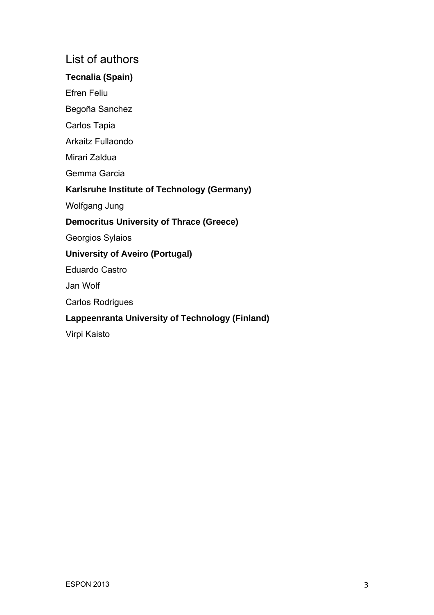## List of authors

## **Tecnalia (Spain)**

Efren Feliu

Begoña Sanchez

Carlos Tapia

Arkaitz Fullaondo

Mirari Zaldua

Gemma Garcia

## **Karlsruhe Institute of Technology (Germany)**

Wolfgang Jung

## **Democritus University of Thrace (Greece)**

Georgios Sylaios

## **University of Aveiro (Portugal)**

Eduardo Castro

Jan Wolf

Carlos Rodrigues

## **Lappeenranta University of Technology (Finland)**

Virpi Kaisto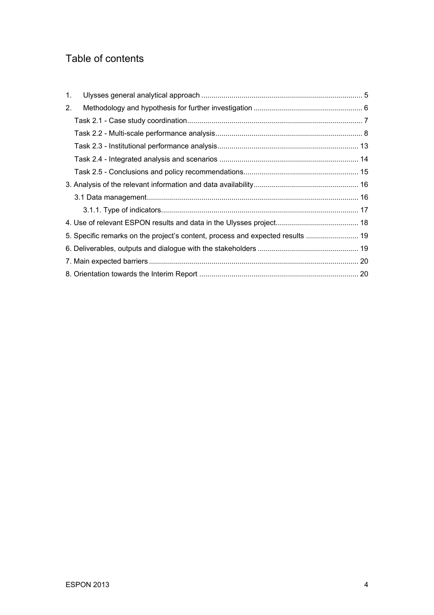## Table of contents

| 1. |                                                                                |  |
|----|--------------------------------------------------------------------------------|--|
| 2. |                                                                                |  |
|    |                                                                                |  |
|    |                                                                                |  |
|    |                                                                                |  |
|    |                                                                                |  |
|    |                                                                                |  |
|    |                                                                                |  |
|    |                                                                                |  |
|    |                                                                                |  |
|    |                                                                                |  |
|    | 5. Specific remarks on the project's content, process and expected results  19 |  |
|    |                                                                                |  |
|    |                                                                                |  |
|    |                                                                                |  |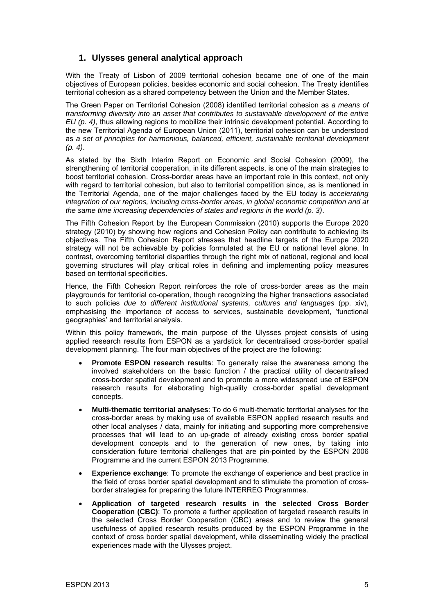## <span id="page-4-0"></span>**1. Ulysses general analytical approach**

With the Treaty of Lisbon of 2009 territorial cohesion became one of one of the main objectives of European policies, besides economic and social cohesion. The Treaty identifies territorial cohesion as a shared competency between the Union and the Member States.

The Green Paper on Territorial Cohesion (2008) identified territorial cohesion as *a means of transforming diversity into an asset that contributes to sustainable development of the entire EU (p. 4)*, thus allowing regions to mobilize their intrinsic development potential. According to the new Territorial Agenda of European Union (2011), territorial cohesion can be understood as *a set of principles for harmonious, balanced, efficient, sustainable territorial development (p. 4)*.

As stated by the Sixth Interim Report on Economic and Social Cohesion (2009), the strengthening of territorial cooperation, in its different aspects, is one of the main strategies to boost territorial cohesion. Cross-border areas have an important role in this context, not only with regard to territorial cohesion, but also to territorial competition since, as is mentioned in the Territorial Agenda, one of the major challenges faced by the EU today is *accelerating integration of our regions, including cross-border areas, in global economic competition and at the same time increasing dependencies of states and regions in the world (p. 3)*.

The Fifth Cohesion Report by the European Commission (2010) supports the Europe 2020 strategy (2010) by showing how regions and Cohesion Policy can contribute to achieving its objectives. The Fifth Cohesion Report stresses that headline targets of the Europe 2020 strategy will not be achievable by policies formulated at the EU or national level alone. In contrast, overcoming territorial disparities through the right mix of national, regional and local governing structures will play critical roles in defining and implementing policy measures based on territorial specificities.

Hence, the Fifth Cohesion Report reinforces the role of cross-border areas as the main playgrounds for territorial co-operation, though recognizing the higher transactions associated to such policies *due to different institutional systems, cultures and languages* (pp. xiv), emphasising the importance of access to services, sustainable development, 'functional geographies' and territorial analysis.

Within this policy framework, the main purpose of the Ulysses project consists of using applied research results from ESPON as a yardstick for decentralised cross-border spatial development planning. The four main objectives of the project are the following:

- **Promote ESPON research results**: To generally raise the awareness among the involved stakeholders on the basic function / the practical utility of decentralised cross-border spatial development and to promote a more widespread use of ESPON research results for elaborating high-quality cross-border spatial development concepts.
- **Multi-thematic territorial analyses**: To do 6 multi-thematic territorial analyses for the cross-border areas by making use of available ESPON applied research results and other local analyses / data, mainly for initiating and supporting more comprehensive processes that will lead to an up-grade of already existing cross border spatial development concepts and to the generation of new ones, by taking into consideration future territorial challenges that are pin-pointed by the ESPON 2006 Programme and the current ESPON 2013 Programme.
- **Experience exchange:** To promote the exchange of experience and best practice in the field of cross border spatial development and to stimulate the promotion of crossborder strategies for preparing the future INTERREG Programmes.
- **Application of targeted research results in the selected Cross Border Cooperation (CBC)**: To promote a further application of targeted research results in the selected Cross Border Cooperation (CBC) areas and to review the general usefulness of applied research results produced by the ESPON Programme in the context of cross border spatial development, while disseminating widely the practical experiences made with the Ulysses project.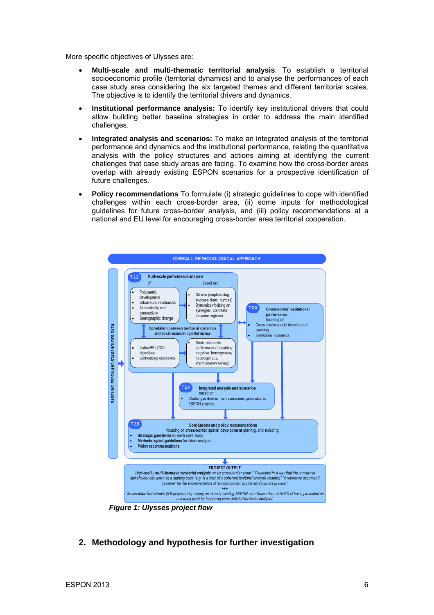<span id="page-5-0"></span>More specific objectives of Ulysses are:

- **Multi-scale and multi-thematic territorial analysis**. To establish a territorial socioeconomic profile (territorial dynamics) and to analyse the performances of each case study area considering the six targeted themes and different territorial scales. The objective is to identify the territorial drivers and dynamics.
- **Institutional performance analysis:** To identify key institutional drivers that could allow building better baseline strategies in order to address the main identified challenges.
- **Integrated analysis and scenarios:** To make an integrated analysis of the territorial performance and dynamics and the institutional performance, relating the quantitative analysis with the policy structures and actions aiming at identifying the current challenges that case study areas are facing. To examine how the cross-border areas overlap with already existing ESPON scenarios for a prospective identification of future challenges.
- **Policy recommendations** To formulate (i) strategic guidelines to cope with identified challenges within each cross-border area, (ii) some inputs for methodological guidelines for future cross-border analysis, and (iii) policy recommendations at a national and EU level for encouraging cross-border area territorial cooperation.



 *Figure 1: Ulysses project flow* 

**2. Methodology and hypothesis for further investigation**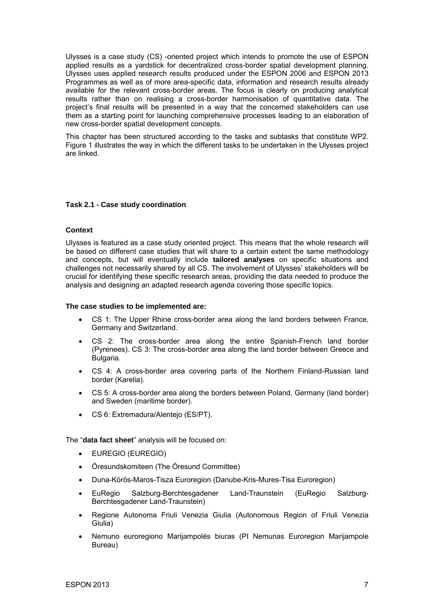<span id="page-6-0"></span>Ulysses is a case study (CS) -oriented project which intends to promote the use of ESPON applied results as a yardstick for decentralized cross-border spatial development planning. Ulysses uses applied research results produced under the ESPON 2006 and ESPON 2013 Programmes as well as of more area-specific data, information and research results already available for the relevant cross-border areas. The focus is clearly on producing analytical results rather than on realising a cross-border harmonisation of quantitative data. The project's final results will be presented in a way that the concerned stakeholders can use them as a starting point for launching comprehensive processes leading to an elaboration of new cross-border spatial development concepts.

This chapter has been structured according to the tasks and subtasks that constitute WP2. Figure 1 illustrates the way in which the different tasks to be undertaken in the Ulysses project are linked.

#### **Task 2.1 - Case study coordination**

#### **Context**

Ulysses is featured as a case study oriented project. This means that the whole research will be based on different case studies that will share to a certain extent the same methodology and concepts, but will eventually include **tailored analyses** on specific situations and challenges not necessarily shared by all CS. The involvement of Ulysses' stakeholders will be crucial for identifying these specific research areas, providing the data needed to produce the analysis and designing an adapted research agenda covering those specific topics.

#### **The case studies to be implemented are:**

- CS 1: The Upper Rhine cross-border area along the land borders between France, Germany and Switzerland.
- CS 2: The cross-border area along the entire Spanish-French land border (Pyrenees). CS 3: The cross-border area along the land border between Greece and Bulgaria.
- CS 4: A cross-border area covering parts of the Northern Finland-Russian land border (Karelia).
- CS 5: A cross-border area along the borders between Poland, Germany (land border) and Sweden (maritime border).
- CS 6: Extremadura/Alentejo (ES/PT).

The "**data fact sheet**" analysis will be focused on:

- EUREGIO (EUREGIO)
- Öresundskomiteen (The Öresund Committee)
- Duna-Körös-Maros-Tisza Euroregion (Danube-Kris-Mures-Tisa Euroregion)
- EuRegio Salzburg-Berchtesgadener Land-Traunstein (EuRegio Salzburg-Berchtesgadener Land-Traunstein)
- Regione Autonoma Friuli Venezia Giulia (Autonomous Region of Friuli Venezia Giulia)
- Nemuno euroregiono Marijampolės biuras (PI Nemunas Euroregion Marijampole Bureau)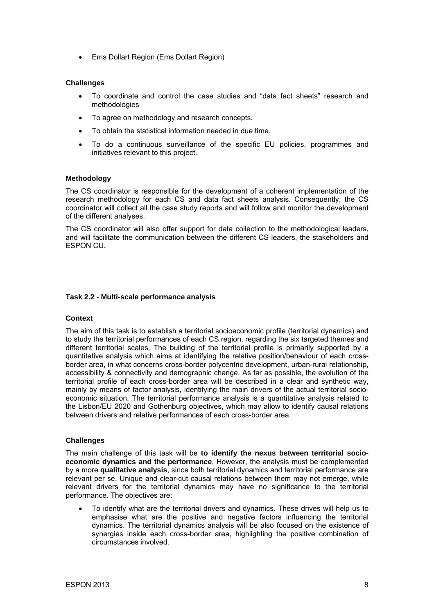<span id="page-7-0"></span>• Ems Dollart Region (Ems Dollart Region)

#### **Challenges**

- To coordinate and control the case studies and "data fact sheets" research and methodologies
- To agree on methodology and research concepts.
- To obtain the statistical information needed in due time.
- To do a continuous surveillance of the specific EU policies, programmes and initiatives relevant to this project.

#### **Methodology**

The CS coordinator is responsible for the development of a coherent implementation of the research methodology for each CS and data fact sheets analysis. Consequently, the CS coordinator will collect all the case study reports and will follow and monitor the development of the different analyses.

The CS coordinator will also offer support for data collection to the methodological leaders, and will facilitate the communication between the different CS leaders, the stakeholders and ESPON CU.

#### **Task 2.2 - Multi-scale performance analysis**

#### **Context**

The aim of this task is to establish a territorial socioeconomic profile (territorial dynamics) and to study the territorial performances of each CS region, regarding the six targeted themes and different territorial scales. The building of the territorial profile is primarily supported by a quantitative analysis which aims at identifying the relative position/behaviour of each crossborder area, in what concerns cross-border polycentric development, urban-rural relationship, accessibility & connectivity and demographic change. As far as possible, the evolution of the territorial profile of each cross-border area will be described in a clear and synthetic way, mainly by means of factor analysis, identifying the main drivers of the actual territorial socioeconomic situation. The territorial performance analysis is a quantitative analysis related to the Lisbon/EU 2020 and Gothenburg objectives, which may allow to identify causal relations between drivers and relative performances of each cross-border area.

#### **Challenges**

The main challenge of this task will be **to identify the nexus between territorial socioeconomic dynamics and the performance**. However, the analysis must be complemented by a more **qualitative analysis**, since both territorial dynamics and territorial performance are relevant per se. Unique and clear-cut causal relations between them may not emerge, while relevant drivers for the territorial dynamics may have no significance to the territorial performance. The objectives are:

• To identify what are the territorial drivers and dynamics. These drives will help us to emphasise what are the positive and negative factors influencing the territorial dynamics. The territorial dynamics analysis will be also focused on the existence of synergies inside each cross-border area, highlighting the positive combination of circumstances involved.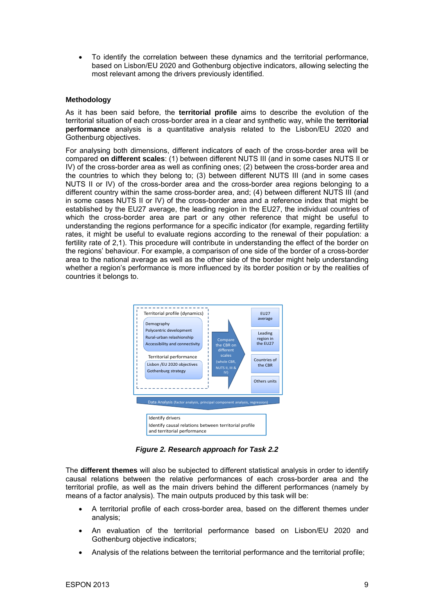• To identify the correlation between these dynamics and the territorial performance, based on Lisbon/EU 2020 and Gothenburg objective indicators, allowing selecting the most relevant among the drivers previously identified.

#### **Methodology**

As it has been said before, the **territorial profile** aims to describe the evolution of the territorial situation of each cross-border area in a clear and synthetic way, while the **territorial performance** analysis is a quantitative analysis related to the Lisbon/EU 2020 and Gothenburg objectives.

For analysing both dimensions, different indicators of each of the cross-border area will be compared **on different scales**: (1) between different NUTS III (and in some cases NUTS II or IV) of the cross-border area as well as confining ones; (2) between the cross-border area and the countries to which they belong to; (3) between different NUTS III (and in some cases NUTS II or IV) of the cross-border area and the cross-border area regions belonging to a different country within the same cross-border area, and; (4) between different NUTS III (and in some cases NUTS II or IV) of the cross-border area and a reference index that might be established by the EU27 average, the leading region in the EU27, the individual countries of which the cross-border area are part or any other reference that might be useful to understanding the regions performance for a specific indicator (for example, regarding fertility rates, it might be useful to evaluate regions according to the renewal of their population: a fertility rate of 2,1). This procedure will contribute in understanding the effect of the border on the regions' behaviour. For example, a comparison of one side of the border of a cross-border area to the national average as well as the other side of the border might help understanding whether a region's performance is more influenced by its border position or by the realities of countries it belongs to.



*Figure 2. Research approach for Task 2.2* 

The **different themes** will also be subjected to different statistical analysis in order to identify causal relations between the relative performances of each cross-border area and the territorial profile, as well as the main drivers behind the different performances (namely by means of a factor analysis). The main outputs produced by this task will be:

- A territorial profile of each cross-border area, based on the different themes under analysis;
- An evaluation of the territorial performance based on Lisbon/EU 2020 and Gothenburg objective indicators;
- Analysis of the relations between the territorial performance and the territorial profile;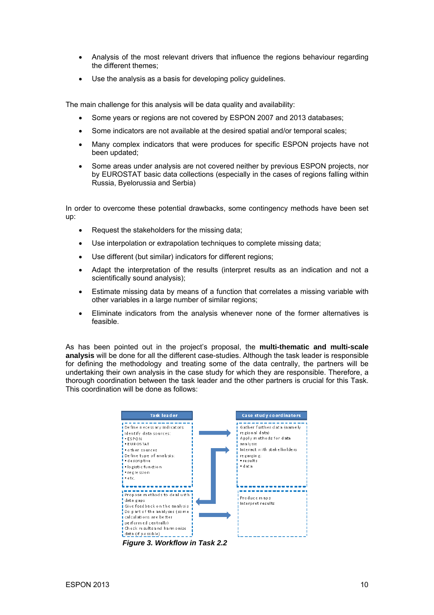- Analysis of the most relevant drivers that influence the regions behaviour regarding the different themes;
- Use the analysis as a basis for developing policy quidelines.

The main challenge for this analysis will be data quality and availability:

- Some years or regions are not covered by ESPON 2007 and 2013 databases;
- Some indicators are not available at the desired spatial and/or temporal scales;
- Many complex indicators that were produces for specific ESPON projects have not been updated;
- Some areas under analysis are not covered neither by previous ESPON projects, nor by EUROSTAT basic data collections (especially in the cases of regions falling within Russia, Byelorussia and Serbia)

In order to overcome these potential drawbacks, some contingency methods have been set up:

- Request the stakeholders for the missing data;
- Use interpolation or extrapolation techniques to complete missing data;
- Use different (but similar) indicators for different regions;
- Adapt the interpretation of the results (interpret results as an indication and not a scientifically sound analysis);
- Estimate missing data by means of a function that correlates a missing variable with other variables in a large number of similar regions;
- Eliminate indicators from the analysis whenever none of the former alternatives is feasible.

As has been pointed out in the project's proposal, the **multi-thematic and multi-scale analysis** will be done for all the different case-studies. Although the task leader is responsible for defining the methodology and treating some of the data centrally, the partners will be undertaking their own analysis in the case study for which they are responsible. Therefore, a thorough coordination between the task leader and the other partners is crucial for this Task. This coordination will be done as follows:



*Figure 3. Workflow in Task 2.2*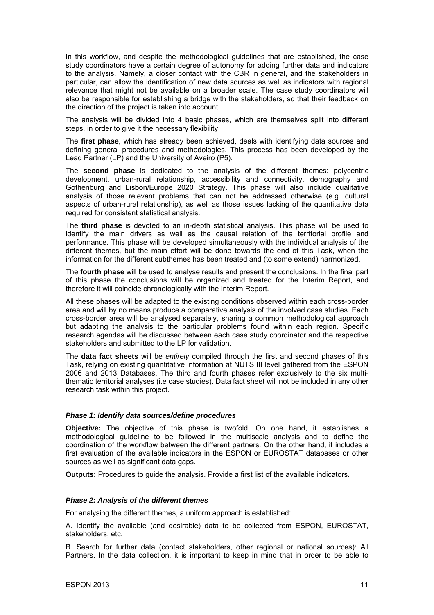In this workflow, and despite the methodological guidelines that are established, the case study coordinators have a certain degree of autonomy for adding further data and indicators to the analysis. Namely, a closer contact with the CBR in general, and the stakeholders in particular, can allow the identification of new data sources as well as indicators with regional relevance that might not be available on a broader scale. The case study coordinators will also be responsible for establishing a bridge with the stakeholders, so that their feedback on the direction of the project is taken into account.

The analysis will be divided into 4 basic phases, which are themselves split into different steps, in order to give it the necessary flexibility.

The **first phase**, which has already been achieved, deals with identifying data sources and defining general procedures and methodologies. This process has been developed by the Lead Partner (LP) and the University of Aveiro (P5).

The **second phase** is dedicated to the analysis of the different themes: polycentric development, urban-rural relationship, accessibility and connectivity, demography and Gothenburg and Lisbon/Europe 2020 Strategy. This phase will also include qualitative analysis of those relevant problems that can not be addressed otherwise (e.g. cultural aspects of urban-rural relationship), as well as those issues lacking of the quantitative data required for consistent statistical analysis.

The **third phase** is devoted to an in-depth statistical analysis. This phase will be used to identify the main drivers as well as the causal relation of the territorial profile and performance. This phase will be developed simultaneously with the individual analysis of the different themes, but the main effort will be done towards the end of this Task, when the information for the different subthemes has been treated and (to some extend) harmonized.

The **fourth phase** will be used to analyse results and present the conclusions. In the final part of this phase the conclusions will be organized and treated for the Interim Report, and therefore it will coincide chronologically with the Interim Report.

All these phases will be adapted to the existing conditions observed within each cross-border area and will by no means produce a comparative analysis of the involved case studies. Each cross-border area will be analysed separately, sharing a common methodological approach but adapting the analysis to the particular problems found within each region. Specific research agendas will be discussed between each case study coordinator and the respective stakeholders and submitted to the LP for validation.

The **data fact sheets** will be *entirely* compiled through the first and second phases of this Task, relying on existing quantitative information at NUTS III level gathered from the ESPON 2006 and 2013 Databases. The third and fourth phases refer exclusively to the six multithematic territorial analyses (i.e case studies). Data fact sheet will not be included in any other research task within this project.

#### *Phase 1: Identify data sources/define procedures*

**Objective:** The objective of this phase is twofold. On one hand, it establishes a methodological guideline to be followed in the multiscale analysis and to define the coordination of the workflow between the different partners. On the other hand, it includes a first evaluation of the available indicators in the ESPON or EUROSTAT databases or other sources as well as significant data gaps.

**Outputs:** Procedures to guide the analysis. Provide a first list of the available indicators.

#### *Phase 2: Analysis of the different themes*

For analysing the different themes, a uniform approach is established:

A. Identify the available (and desirable) data to be collected from ESPON, EUROSTAT, stakeholders, etc.

B. Search for further data (contact stakeholders, other regional or national sources): All Partners. In the data collection, it is important to keep in mind that in order to be able to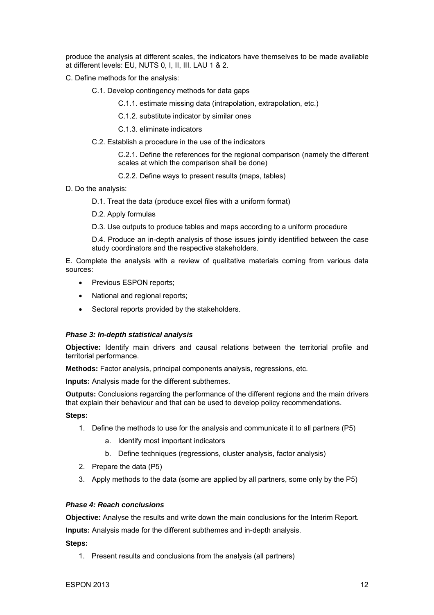produce the analysis at different scales, the indicators have themselves to be made available at different levels: EU, NUTS 0, I, II, III. LAU 1 & 2.

C. Define methods for the analysis:

C.1. Develop contingency methods for data gaps

C.1.1. estimate missing data (intrapolation, extrapolation, etc.)

C.1.2. substitute indicator by similar ones

C.1.3. eliminate indicators

C.2. Establish a procedure in the use of the indicators

C.2.1. Define the references for the regional comparison (namely the different scales at which the comparison shall be done)

- C.2.2. Define ways to present results (maps, tables)
- D. Do the analysis:
	- D.1. Treat the data (produce excel files with a uniform format)

D.2. Apply formulas

D.3. Use outputs to produce tables and maps according to a uniform procedure

D.4. Produce an in-depth analysis of those issues jointly identified between the case study coordinators and the respective stakeholders.

E. Complete the analysis with a review of qualitative materials coming from various data sources:

- Previous ESPON reports;
- National and regional reports;
- Sectoral reports provided by the stakeholders.

#### *Phase 3: In-depth statistical analysis*

**Objective:** Identify main drivers and causal relations between the territorial profile and territorial performance.

**Methods:** Factor analysis, principal components analysis, regressions, etc.

**Inputs:** Analysis made for the different subthemes.

**Outputs:** Conclusions regarding the performance of the different regions and the main drivers that explain their behaviour and that can be used to develop policy recommendations.

#### **Steps:**

- 1. Define the methods to use for the analysis and communicate it to all partners (P5)
	- a. Identify most important indicators
	- b. Define techniques (regressions, cluster analysis, factor analysis)
- 2. Prepare the data (P5)
- 3. Apply methods to the data (some are applied by all partners, some only by the P5)

#### *Phase 4: Reach conclusions*

**Objective:** Analyse the results and write down the main conclusions for the Interim Report.

**Inputs:** Analysis made for the different subthemes and in-depth analysis.

#### **Steps:**

1. Present results and conclusions from the analysis (all partners)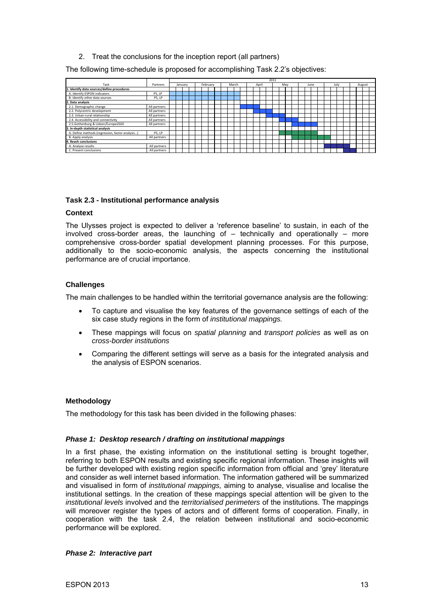2. Treat the conclusions for the inception report (all partners)

<span id="page-12-0"></span>The following time-schedule is proposed for accomplishing Task 2.2's objectives:

|                                                 |              | 2011 |  |         |  |  |          |  |  |  |       |  |       |  |     |  |      |  |      |  |        |  |
|-------------------------------------------------|--------------|------|--|---------|--|--|----------|--|--|--|-------|--|-------|--|-----|--|------|--|------|--|--------|--|
| Task                                            | Partners     |      |  | January |  |  | February |  |  |  | March |  | April |  | May |  | June |  | July |  | August |  |
| 1. Identify data sources/define procedures      |              |      |  |         |  |  |          |  |  |  |       |  |       |  |     |  |      |  |      |  |        |  |
| A. Identify ESPON indicators                    | <b>P5.LP</b> |      |  |         |  |  |          |  |  |  |       |  |       |  |     |  |      |  |      |  |        |  |
| B. Identify other data sources                  | <b>P5.LP</b> |      |  |         |  |  |          |  |  |  |       |  |       |  |     |  |      |  |      |  |        |  |
| 2. Data analysis                                |              |      |  |         |  |  |          |  |  |  |       |  |       |  |     |  |      |  |      |  |        |  |
| 2.1. Demographic change                         | All partners |      |  |         |  |  |          |  |  |  |       |  |       |  |     |  |      |  |      |  |        |  |
| 2.2. Polycentric development                    | All partners |      |  |         |  |  |          |  |  |  |       |  |       |  |     |  |      |  |      |  |        |  |
| 2.3. Urban-rural relationship                   | All partners |      |  |         |  |  |          |  |  |  |       |  |       |  |     |  |      |  |      |  |        |  |
| 2.4. Accessibility and connectivity             | All partners |      |  |         |  |  |          |  |  |  |       |  |       |  |     |  |      |  |      |  |        |  |
| 2.5.Gothenburg & Lisbon/Europe2020              | All partners |      |  |         |  |  |          |  |  |  |       |  |       |  |     |  |      |  |      |  |        |  |
| 3. In-depth statistical analysis                |              |      |  |         |  |  |          |  |  |  |       |  |       |  |     |  |      |  |      |  |        |  |
| A. Define methods (regression, factor analysis) | <b>P5.LP</b> |      |  |         |  |  |          |  |  |  |       |  |       |  |     |  |      |  |      |  |        |  |
| B. Apply analysis                               | All partners |      |  |         |  |  |          |  |  |  |       |  |       |  |     |  |      |  |      |  |        |  |
| 4. Reach conclusions                            |              |      |  |         |  |  |          |  |  |  |       |  |       |  |     |  |      |  |      |  |        |  |
| A. Analyse results                              | All partners |      |  |         |  |  |          |  |  |  |       |  |       |  |     |  |      |  |      |  |        |  |
| C. Present conclusions                          | All partners |      |  |         |  |  |          |  |  |  |       |  |       |  |     |  |      |  |      |  |        |  |

#### **Task 2.3 - Institutional performance analysis**

#### **Context**

The Ulysses project is expected to deliver a 'reference baseline' to sustain, in each of the involved cross-border areas, the launching of  $-$  technically and operationally  $-$  more comprehensive cross-border spatial development planning processes. For this purpose, additionally to the socio-economic analysis, the aspects concerning the institutional performance are of crucial importance.

#### **Challenges**

The main challenges to be handled within the territorial governance analysis are the following:

- To capture and visualise the key features of the governance settings of each of the six case study regions in the form of *institutional mappings.*
- These mappings will focus on *spatial planning* and *transport policies* as well as on *cross-border institutions*
- Comparing the different settings will serve as a basis for the integrated analysis and the analysis of ESPON scenarios.

#### **Methodology**

The methodology for this task has been divided in the following phases:

#### *Phase 1: Desktop research / drafting on institutional mappings*

In a first phase, the existing information on the institutional setting is brought together, referring to both ESPON results and existing specific regional information. These insights will be further developed with existing region specific information from official and 'grey' literature and consider as well internet based information. The information gathered will be summarized and visualised in form of *institutional mappings,* aiming to analyse, visualise and localise the institutional settings. In the creation of these mappings special attention will be given to the *institutional levels* involved and the *territorialised perimeters* of the institutions. The mappings will moreover register the types of actors and of different forms of cooperation. Finally, in cooperation with the task 2.4, the relation between institutional and socio-economic performance will be explored.

#### *Phase 2: Interactive part*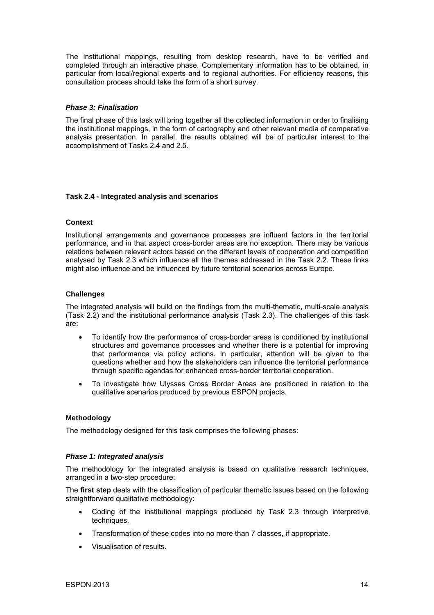<span id="page-13-0"></span>The institutional mappings, resulting from desktop research, have to be verified and completed through an interactive phase. Complementary information has to be obtained, in particular from local/regional experts and to regional authorities. For efficiency reasons, this consultation process should take the form of a short survey.

#### *Phase 3: Finalisation*

The final phase of this task will bring together all the collected information in order to finalising the institutional mappings, in the form of cartography and other relevant media of comparative analysis presentation. In parallel, the results obtained will be of particular interest to the accomplishment of Tasks 2.4 and 2.5.

#### **Task 2.4 - Integrated analysis and scenarios**

#### **Context**

Institutional arrangements and governance processes are influent factors in the territorial performance, and in that aspect cross-border areas are no exception. There may be various relations between relevant actors based on the different levels of cooperation and competition analysed by Task 2.3 which influence all the themes addressed in the Task 2.2. These links might also influence and be influenced by future territorial scenarios across Europe.

#### **Challenges**

The integrated analysis will build on the findings from the multi-thematic, multi-scale analysis (Task 2.2) and the institutional performance analysis (Task 2.3). The challenges of this task are:

- To identify how the performance of cross-border areas is conditioned by institutional structures and governance processes and whether there is a potential for improving that performance via policy actions. In particular, attention will be given to the questions whether and how the stakeholders can influence the territorial performance through specific agendas for enhanced cross-border territorial cooperation.
- To investigate how Ulysses Cross Border Areas are positioned in relation to the qualitative scenarios produced by previous ESPON projects.

#### **Methodology**

The methodology designed for this task comprises the following phases:

#### *Phase 1: Integrated analysis*

The methodology for the integrated analysis is based on qualitative research techniques, arranged in a two-step procedure:

The **first step** deals with the classification of particular thematic issues based on the following straightforward qualitative methodology:

- Coding of the institutional mappings produced by Task 2.3 through interpretive techniques.
- Transformation of these codes into no more than 7 classes, if appropriate.
- Visualisation of results.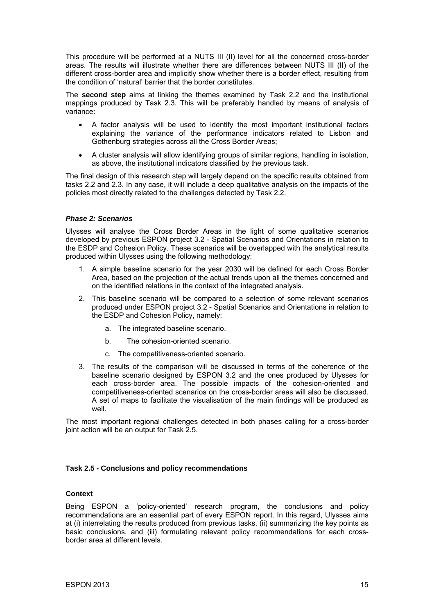<span id="page-14-0"></span>This procedure will be performed at a NUTS III (II) level for all the concerned cross-border areas. The results will illustrate whether there are differences between NUTS III (II) of the different cross-border area and implicitly show whether there is a border effect, resulting from the condition of 'natural' barrier that the border constitutes.

The **second step** aims at linking the themes examined by Task 2.2 and the institutional mappings produced by Task 2.3. This will be preferably handled by means of analysis of variance:

- A factor analysis will be used to identify the most important institutional factors explaining the variance of the performance indicators related to Lisbon and Gothenburg strategies across all the Cross Border Areas;
- A cluster analysis will allow identifying groups of similar regions, handling in isolation, as above, the institutional indicators classified by the previous task.

The final design of this research step will largely depend on the specific results obtained from tasks 2.2 and 2.3. In any case, it will include a deep qualitative analysis on the impacts of the policies most directly related to the challenges detected by Task 2.2.

#### *Phase 2: Scenarios*

Ulysses will analyse the Cross Border Areas in the light of some qualitative scenarios developed by previous ESPON project 3.2 - Spatial Scenarios and Orientations in relation to the ESDP and Cohesion Policy. These scenarios will be overlapped with the analytical results produced within Ulysses using the following methodology:

- 1. A simple baseline scenario for the year 2030 will be defined for each Cross Border Area, based on the projection of the actual trends upon all the themes concerned and on the identified relations in the context of the integrated analysis.
- 2. This baseline scenario will be compared to a selection of some relevant scenarios produced under ESPON project 3.2 - Spatial Scenarios and Orientations in relation to the ESDP and Cohesion Policy, namely:
	- a. The integrated baseline scenario.
	- b. The cohesion-oriented scenario.
	- c. The competitiveness-oriented scenario.
- 3. The results of the comparison will be discussed in terms of the coherence of the baseline scenario designed by ESPON 3.2 and the ones produced by Ulysses for each cross-border area. The possible impacts of the cohesion-oriented and competitiveness-oriented scenarios on the cross-border areas will also be discussed. A set of maps to facilitate the visualisation of the main findings will be produced as well.

The most important regional challenges detected in both phases calling for a cross-border joint action will be an output for Task 2.5.

#### **Task 2.5 - Conclusions and policy recommendations**

#### **Context**

Being ESPON a 'policy-oriented' research program, the conclusions and policy recommendations are an essential part of every ESPON report. In this regard, Ulysses aims at (i) interrelating the results produced from previous tasks, (ii) summarizing the key points as basic conclusions, and (iii) formulating relevant policy recommendations for each crossborder area at different levels.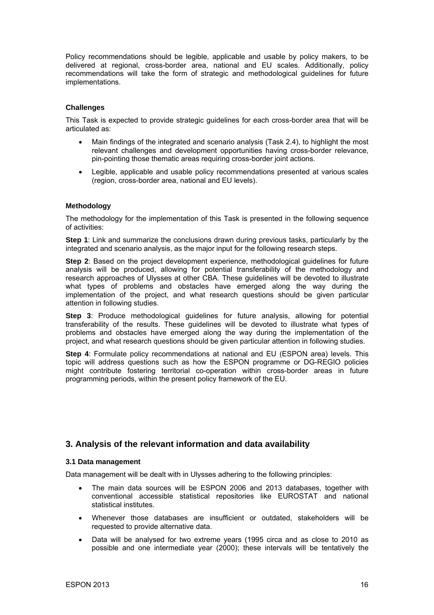<span id="page-15-0"></span>Policy recommendations should be legible, applicable and usable by policy makers, to be delivered at regional, cross-border area, national and EU scales. Additionally, policy recommendations will take the form of strategic and methodological guidelines for future implementations.

#### **Challenges**

This Task is expected to provide strategic guidelines for each cross-border area that will be articulated as:

- Main findings of the integrated and scenario analysis (Task 2.4), to highlight the most relevant challenges and development opportunities having cross-border relevance, pin-pointing those thematic areas requiring cross-border joint actions.
- Legible, applicable and usable policy recommendations presented at various scales (region, cross-border area, national and EU levels).

#### **Methodology**

The methodology for the implementation of this Task is presented in the following sequence of activities:

**Step 1**: Link and summarize the conclusions drawn during previous tasks, particularly by the integrated and scenario analysis, as the major input for the following research steps.

**Step 2**: Based on the project development experience, methodological guidelines for future analysis will be produced, allowing for potential transferability of the methodology and research approaches of Ulysses at other CBA. These guidelines will be devoted to illustrate what types of problems and obstacles have emerged along the way during the implementation of the project, and what research questions should be given particular attention in following studies.

**Step 3**: Produce methodological guidelines for future analysis, allowing for potential transferability of the results. These guidelines will be devoted to illustrate what types of problems and obstacles have emerged along the way during the implementation of the project, and what research questions should be given particular attention in following studies.

**Step 4**: Formulate policy recommendations at national and EU (ESPON area) levels. This topic will address questions such as how the ESPON programme or DG-REGIO policies might contribute fostering territorial co-operation within cross-border areas in future programming periods, within the present policy framework of the EU.

#### **3. Analysis of the relevant information and data availability**

#### **3.1 Data management**

Data management will be dealt with in Ulysses adhering to the following principles:

- The main data sources will be ESPON 2006 and 2013 databases, together with conventional accessible statistical repositories like EUROSTAT and national statistical institutes.
- Whenever those databases are insufficient or outdated, stakeholders will be requested to provide alternative data.
- Data will be analysed for two extreme years (1995 circa and as close to 2010 as possible and one intermediate year (2000); these intervals will be tentatively the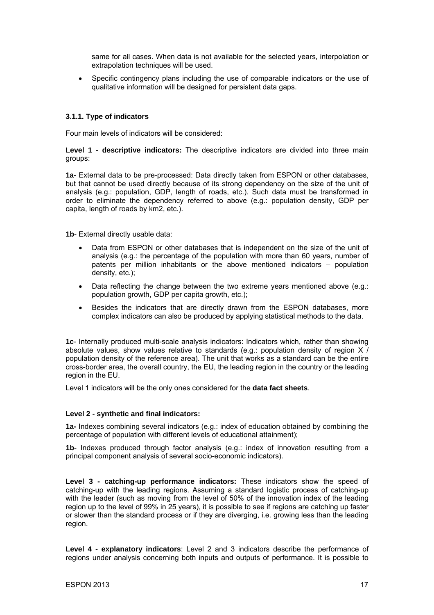<span id="page-16-0"></span>same for all cases. When data is not available for the selected years, interpolation or extrapolation techniques will be used.

• Specific contingency plans including the use of comparable indicators or the use of qualitative information will be designed for persistent data gaps.

#### **3.1.1. Type of indicators**

Four main levels of indicators will be considered:

**Level 1 - descriptive indicators:** The descriptive indicators are divided into three main groups:

**1a-** External data to be pre-processed: Data directly taken from ESPON or other databases, but that cannot be used directly because of its strong dependency on the size of the unit of analysis (e.g.: population, GDP, length of roads, etc.). Such data must be transformed in order to eliminate the dependency referred to above (e.g.: population density, GDP per capita, length of roads by km2, etc.).

**1b**- External directly usable data:

- Data from ESPON or other databases that is independent on the size of the unit of analysis (e.g.: the percentage of the population with more than 60 years, number of patents per million inhabitants or the above mentioned indicators – population density, etc.);
- Data reflecting the change between the two extreme years mentioned above (e.g.: population growth, GDP per capita growth, etc.);
- Besides the indicators that are directly drawn from the ESPON databases, more complex indicators can also be produced by applying statistical methods to the data.

**1c**- Internally produced multi-scale analysis indicators: Indicators which, rather than showing absolute values, show values relative to standards (e.g.: population density of region  $X / Y$ population density of the reference area). The unit that works as a standard can be the entire cross-border area, the overall country, the EU, the leading region in the country or the leading region in the EU.

Level 1 indicators will be the only ones considered for the **data fact sheets**.

#### **Level 2 - synthetic and final indicators:**

**1a-** Indexes combining several indicators (e.g.: index of education obtained by combining the percentage of population with different levels of educational attainment);

**1b**- Indexes produced through factor analysis (e.g.: index of innovation resulting from a principal component analysis of several socio-economic indicators).

**Level 3 - catching-up performance indicators:** These indicators show the speed of catching-up with the leading regions. Assuming a standard logistic process of catching-up with the leader (such as moving from the level of 50% of the innovation index of the leading region up to the level of 99% in 25 years), it is possible to see if regions are catching up faster or slower than the standard process or if they are diverging, i.e. growing less than the leading region.

**Level 4 - explanatory indicators**: Level 2 and 3 indicators describe the performance of regions under analysis concerning both inputs and outputs of performance. It is possible to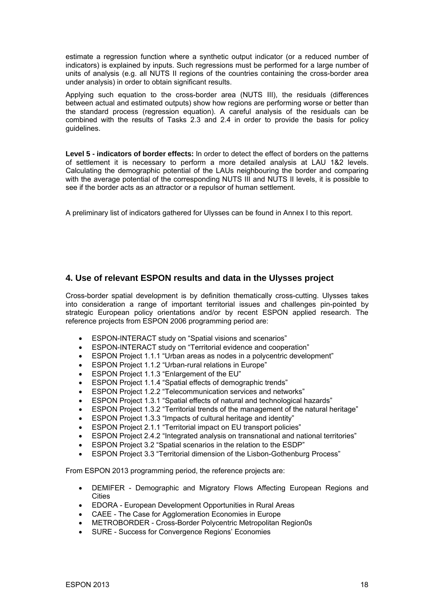<span id="page-17-0"></span>estimate a regression function where a synthetic output indicator (or a reduced number of indicators) is explained by inputs. Such regressions must be performed for a large number of units of analysis (e.g. all NUTS II regions of the countries containing the cross-border area under analysis) in order to obtain significant results.

Applying such equation to the cross-border area (NUTS III), the residuals (differences between actual and estimated outputs) show how regions are performing worse or better than the standard process (regression equation). A careful analysis of the residuals can be combined with the results of Tasks 2.3 and 2.4 in order to provide the basis for policy guidelines.

**Level 5 - indicators of border effects:** In order to detect the effect of borders on the patterns of settlement it is necessary to perform a more detailed analysis at LAU 1&2 levels. Calculating the demographic potential of the LAUs neighbouring the border and comparing with the average potential of the corresponding NUTS III and NUTS II levels, it is possible to see if the border acts as an attractor or a repulsor of human settlement.

A preliminary list of indicators gathered for Ulysses can be found in Annex I to this report.

## **4. Use of relevant ESPON results and data in the Ulysses project**

Cross-border spatial development is by definition thematically cross-cutting. Ulysses takes into consideration a range of important territorial issues and challenges pin-pointed by strategic European policy orientations and/or by recent ESPON applied research. The reference projects from ESPON 2006 programming period are:

- ESPON-INTERACT study on "Spatial visions and scenarios"
- ESPON-INTERACT study on "Territorial evidence and cooperation"
- ESPON Project 1.1.1 "Urban areas as nodes in a polycentric development"
- ESPON Project 1.1.2 "Urban-rural relations in Europe"
- ESPON Project 1.1.3 "Enlargement of the EU"
- ESPON Project 1.1.4 "Spatial effects of demographic trends"
- ESPON Project 1.2.2 "Telecommunication services and networks"
- ESPON Project 1.3.1 "Spatial effects of natural and technological hazards"
- ESPON Project 1.3.2 "Territorial trends of the management of the natural heritage"
- ESPON Project 1.3.3 "Impacts of cultural heritage and identity"
- ESPON Project 2.1.1 "Territorial impact on EU transport policies"
- ESPON Project 2.4.2 "Integrated analysis on transnational and national territories"
- ESPON Project 3.2 "Spatial scenarios in the relation to the ESDP"
- ESPON Project 3.3 "Territorial dimension of the Lisbon-Gothenburg Process"

From ESPON 2013 programming period, the reference projects are:

- DEMIFER Demographic and Migratory Flows Affecting European Regions and **Cities**
- EDORA European Development Opportunities in Rural Areas
- CAEE The Case for Agglomeration Economies in Europe
- METROBORDER Cross-Border Polycentric Metropolitan Region0s
- SURE Success for Convergence Regions' Economies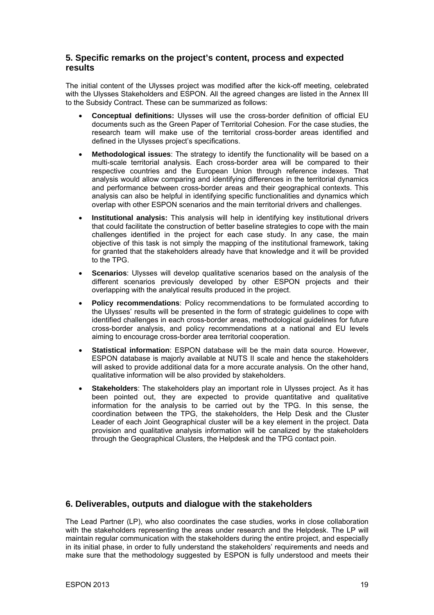#### <span id="page-18-0"></span>**5. Specific remarks on the project's content, process and expected results**

The initial content of the Ulysses project was modified after the kick-off meeting, celebrated with the Ulysses Stakeholders and ESPON. All the agreed changes are listed in the Annex III to the Subsidy Contract. These can be summarized as follows:

- **Conceptual definitions:** Ulysses will use the cross-border definition of official EU documents such as the Green Paper of Territorial Cohesion. For the case studies, the research team will make use of the territorial cross-border areas identified and defined in the Ulysses project's specifications.
- **Methodological issues**: The strategy to identify the functionality will be based on a multi-scale territorial analysis. Each cross-border area will be compared to their respective countries and the European Union through reference indexes. That analysis would allow comparing and identifying differences in the territorial dynamics and performance between cross-border areas and their geographical contexts. This analysis can also be helpful in identifying specific functionalities and dynamics which overlap with other ESPON scenarios and the main territorial drivers and challenges.
- **Institutional analysis:** This analysis will help in identifying key institutional drivers that could facilitate the construction of better baseline strategies to cope with the main challenges identified in the project for each case study. In any case, the main objective of this task is not simply the mapping of the institutional framework, taking for granted that the stakeholders already have that knowledge and it will be provided to the TPG.
- **Scenarios**: Ulysses will develop qualitative scenarios based on the analysis of the different scenarios previously developed by other ESPON projects and their overlapping with the analytical results produced in the project.
- **Policy recommendations**: Policy recommendations to be formulated according to the Ulysses' results will be presented in the form of strategic guidelines to cope with identified challenges in each cross-border areas, methodological guidelines for future cross-border analysis, and policy recommendations at a national and EU levels aiming to encourage cross-border area territorial cooperation.
- **Statistical information**: ESPON database will be the main data source. However, ESPON database is majorly available at NUTS II scale and hence the stakeholders will asked to provide additional data for a more accurate analysis. On the other hand, qualitative information will be also provided by stakeholders.
- **Stakeholders**: The stakeholders play an important role in Ulysses project. As it has been pointed out, they are expected to provide quantitative and qualitative information for the analysis to be carried out by the TPG. In this sense, the coordination between the TPG, the stakeholders, the Help Desk and the Cluster Leader of each Joint Geographical cluster will be a key element in the project. Data provision and qualitative analysis information will be canalized by the stakeholders through the Geographical Clusters, the Helpdesk and the TPG contact poin.

## **6. Deliverables, outputs and dialogue with the stakeholders**

The Lead Partner (LP), who also coordinates the case studies, works in close collaboration with the stakeholders representing the areas under research and the Helpdesk. The LP will maintain regular communication with the stakeholders during the entire project, and especially in its initial phase, in order to fully understand the stakeholders' requirements and needs and make sure that the methodology suggested by ESPON is fully understood and meets their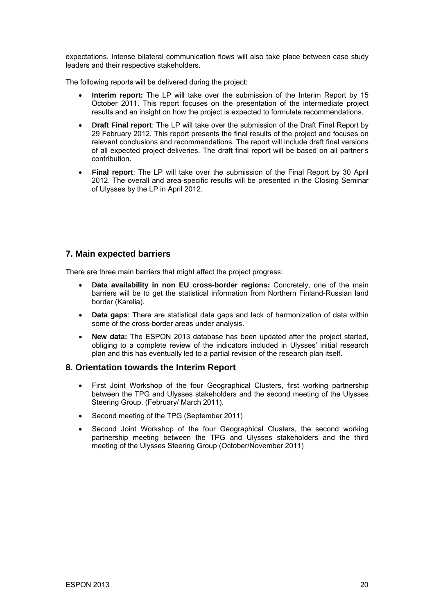<span id="page-19-0"></span>expectations. Intense bilateral communication flows will also take place between case study leaders and their respective stakeholders.

The following reports will be delivered during the project:

- **Interim report:** The LP will take over the submission of the Interim Report by 15 October 2011. This report focuses on the presentation of the intermediate project results and an insight on how the project is expected to formulate recommendations.
- **Draft Final report**: The LP will take over the submission of the Draft Final Report by 29 February 2012. This report presents the final results of the project and focuses on relevant conclusions and recommendations. The report will include draft final versions of all expected project deliveries. The draft final report will be based on all partner's contribution.
- **Final report**: The LP will take over the submission of the Final Report by 30 April 2012. The overall and area-specific results will be presented in the Closing Seminar of Ulysses by the LP in April 2012.

## **7. Main expected barriers**

There are three main barriers that might affect the project progress:

- **Data availability in non EU cross-border regions:** Concretely, one of the main barriers will be to get the statistical information from Northern Finland-Russian land border (Karelia).
- **Data gaps**: There are statistical data gaps and lack of harmonization of data within some of the cross-border areas under analysis.
- **New data:** The ESPON 2013 database has been updated after the project started, obliging to a complete review of the indicators included in Ulysses' initial research plan and this has eventually led to a partial revision of the research plan itself.

#### **8. Orientation towards the Interim Report**

- First Joint Workshop of the four Geographical Clusters, first working partnership between the TPG and Ulysses stakeholders and the second meeting of the Ulysses Steering Group. (February/ March 2011).
- Second meeting of the TPG (September 2011)
- Second Joint Workshop of the four Geographical Clusters, the second working partnership meeting between the TPG and Ulysses stakeholders and the third meeting of the Ulysses Steering Group (October/November 2011)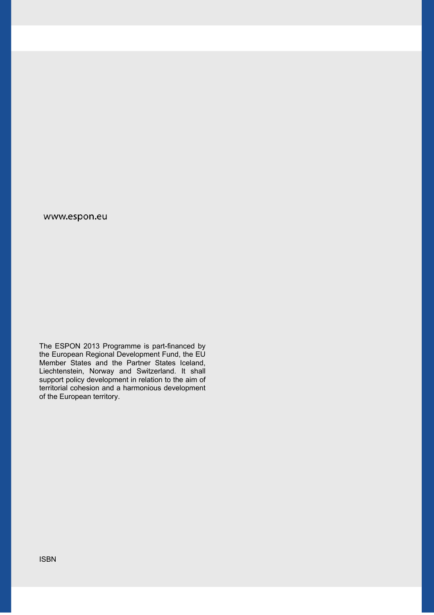#### www.espon.eu

The ESPON 2013 Programme is part-financed by the European Regional Development Fund, the EU Member States and the Partner States Iceland, Liechtenstein, Norway and Switzerland. It shall support policy development in relation to the aim of territorial cohesion and a harmonious development of the European territory.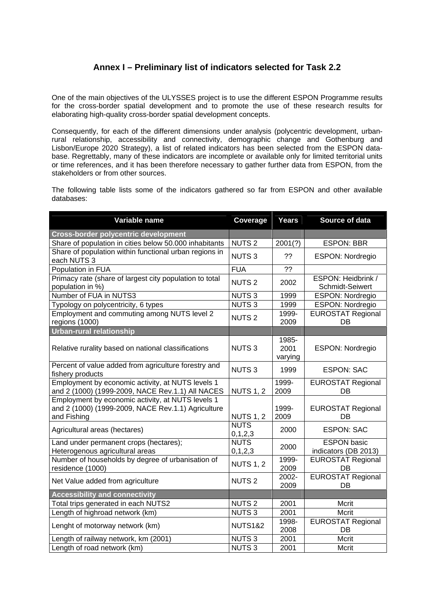## **Annex I – Preliminary list of indicators selected for Task 2.2**

One of the main objectives of the ULYSSES project is to use the different ESPON Programme results for the cross-border spatial development and to promote the use of these research results for elaborating high-quality cross-border spatial development concepts.

Consequently, for each of the different dimensions under analysis (polycentric development, urbanrural relationship, accessibility and connectivity, demographic change and Gothenburg and Lisbon/Europe 2020 Strategy), a list of related indicators has been selected from the ESPON database. Regrettably, many of these indicators are incomplete or available only for limited territorial units or time references, and it has been therefore necessary to gather further data from ESPON, from the stakeholders or from other sources.

The following table lists some of the indicators gathered so far from ESPON and other available databases:

| Variable name                                                                                                          | Coverage                  | Years                    | Source of data                             |
|------------------------------------------------------------------------------------------------------------------------|---------------------------|--------------------------|--------------------------------------------|
| <b>Cross-border polycentric development</b>                                                                            |                           |                          |                                            |
| Share of population in cities below 50.000 inhabitants                                                                 | <b>NUTS2</b>              | 2001(?)                  | <b>ESPON: BBR</b>                          |
| Share of population within functional urban regions in<br>each NUTS 3                                                  | <b>NUTS3</b>              | ??                       | <b>ESPON: Nordregio</b>                    |
| Population in FUA                                                                                                      | <b>FUA</b>                | ??                       |                                            |
| Primacy rate (share of largest city population to total<br>population in %)                                            | <b>NUTS2</b>              | 2002                     | ESPON: Heidbrink /<br>Schmidt-Seiwert      |
| Number of FUA in NUTS3                                                                                                 | <b>NUTS3</b>              | 1999                     | <b>ESPON: Nordregio</b>                    |
| Typology on polycentricity, 6 types                                                                                    | <b>NUTS3</b>              | 1999                     | ESPON: Nordregio                           |
| Employment and commuting among NUTS level 2<br>regions (1000)                                                          | <b>NUTS2</b>              | 1999-<br>2009            | <b>EUROSTAT Regional</b><br>DB             |
| <b>Urban-rural relationship</b>                                                                                        |                           |                          |                                            |
| Relative rurality based on national classifications                                                                    | <b>NUTS3</b>              | 1985-<br>2001<br>varying | <b>ESPON: Nordregio</b>                    |
| Percent of value added from agriculture forestry and<br>fishery products                                               | <b>NUTS3</b>              | 1999                     | <b>ESPON: SAC</b>                          |
| Employment by economic activity, at NUTS levels 1<br>and 2 (1000) (1999-2009, NACE Rev.1.1) All NACES                  | <b>NUTS 1, 2</b>          | 1999-<br>2009            | <b>EUROSTAT Regional</b><br>DB             |
| Employment by economic activity, at NUTS levels 1<br>and 2 (1000) (1999-2009, NACE Rev.1.1) Agriculture<br>and Fishing | <b>NUTS 1, 2</b>          | 1999-<br>2009            | <b>EUROSTAT Regional</b><br>DB             |
| Agricultural areas (hectares)                                                                                          | <b>NUTS</b><br>0, 1, 2, 3 | 2000                     | <b>ESPON: SAC</b>                          |
| Land under permanent crops (hectares);<br>Heterogenous agricultural areas                                              | <b>NUTS</b><br>0, 1, 2, 3 | 2000                     | <b>ESPON basic</b><br>indicators (DB 2013) |
| Number of households by degree of urbanisation of<br>residence (1000)                                                  | <b>NUTS 1, 2</b>          | 1999-<br>2009            | <b>EUROSTAT Regional</b><br>DB             |
| Net Value added from agriculture                                                                                       | <b>NUTS2</b>              | 2002-<br>2009            | <b>EUROSTAT Regional</b><br>DB             |
| <b>Accessibility and connectivity</b>                                                                                  |                           |                          |                                            |
| Total trips generated in each NUTS2                                                                                    | <b>NUTS2</b>              | 2001                     | Mcrit                                      |
| Length of highroad network (km)                                                                                        | <b>NUTS3</b>              | 2001                     | Mcrit                                      |
| Lenght of motorway network (km)                                                                                        | <b>NUTS1&amp;2</b>        | 1998-<br>2008            | <b>EUROSTAT Regional</b><br>DB             |
| Length of railway network, km (2001)                                                                                   | <b>NUTS3</b>              | 2001                     | Mcrit                                      |
| Length of road network (km)                                                                                            | <b>NUTS3</b>              | 2001                     | Mcrit                                      |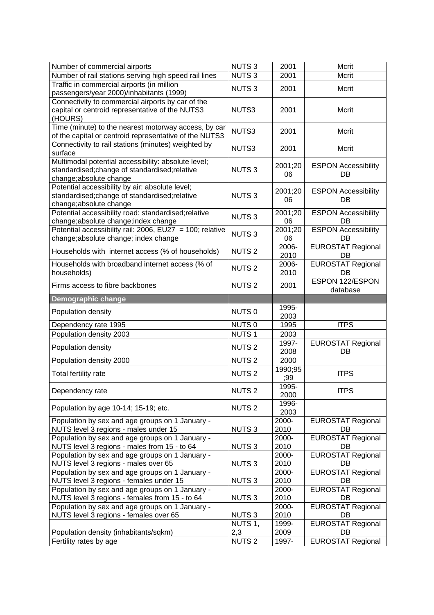| Number of commercial airports                                                                                                 | <b>NUTS3</b>            | 2001           | Mcrit                            |
|-------------------------------------------------------------------------------------------------------------------------------|-------------------------|----------------|----------------------------------|
| Number of rail stations serving high speed rail lines                                                                         | <b>NUTS3</b>            | 2001           | Mcrit                            |
| Traffic in commercial airports (in million<br>passengers/year 2000)/inhabitants (1999)                                        | <b>NUTS3</b>            | 2001           | Mcrit                            |
| Connectivity to commercial airports by car of the<br>capital or centroid representative of the NUTS3<br>(HOURS)               | NUTS3                   | 2001           | Mcrit                            |
| Time (minute) to the nearest motorway access, by car<br>of the capital or centroid representative of the NUTS3                | NUTS3                   | 2001           | Mcrit                            |
| Connectivity to rail stations (minutes) weighted by<br>surface                                                                | NUTS3                   | 2001           | Mcrit                            |
| Multimodal potential accessibility: absolute level;<br>standardised;change of standardised;relative<br>change;absolute change | <b>NUTS3</b>            | 2001;20<br>06  | <b>ESPON Accessibility</b><br>DB |
| Potential accessibility by air: absolute level;<br>standardised;change of standardised;relative<br>change;absolute change     | <b>NUTS3</b>            | 2001;20<br>06  | <b>ESPON Accessibility</b><br>DB |
| Potential accessibility road: standardised; relative<br>change; absolute change; index change                                 | <b>NUTS3</b>            | 2001;20<br>06  | <b>ESPON Accessibility</b><br>DB |
| Potential accessibility rail: 2006, EU27 = 100; relative<br>change; absolute change; index change                             | <b>NUTS3</b>            | 2001;20<br>06  | <b>ESPON Accessibility</b><br>DB |
| Households with internet access (% of households)                                                                             | <b>NUTS 2</b>           | 2006-<br>2010  | <b>EUROSTAT Regional</b><br>DB   |
| Households with broadband internet access (% of<br>households)                                                                | <b>NUTS2</b>            | 2006-<br>2010  | <b>EUROSTAT Regional</b><br>DB   |
| Firms access to fibre backbones                                                                                               | <b>NUTS2</b>            | 2001           | ESPON 122/ESPON<br>database      |
| <b>Demographic change</b>                                                                                                     |                         |                |                                  |
|                                                                                                                               |                         |                |                                  |
| Population density                                                                                                            | NUTS <sub>0</sub>       | 1995-<br>2003  |                                  |
| Dependency rate 1995                                                                                                          | NUTS <sub>0</sub>       | 1995           | <b>ITPS</b>                      |
| Population density 2003                                                                                                       | <b>NUTS1</b>            | 2003           |                                  |
| Population density                                                                                                            | <b>NUTS2</b>            | 1997-<br>2008  | <b>EUROSTAT Regional</b><br>DB   |
| Population density 2000                                                                                                       | <b>NUTS2</b>            | 2000           |                                  |
| Total fertility rate                                                                                                          | <b>NUTS2</b>            | 1990;95<br>;99 | <b>ITPS</b>                      |
| Dependency rate                                                                                                               | NUTS <sub>2</sub>       | 1995-<br>2000  | <b>ITPS</b>                      |
| Population by age 10-14; 15-19; etc.                                                                                          | <b>NUTS2</b>            | 1996-<br>2003  |                                  |
| Population by sex and age groups on 1 January -<br>NUTS level 3 regions - males under 15                                      | NUTS <sub>3</sub>       | 2000-<br>2010  | <b>EUROSTAT Regional</b><br>DB   |
| Population by sex and age groups on 1 January -<br>NUTS level 3 regions - males from 15 - to 64                               | <b>NUTS3</b>            | 2000-<br>2010  | <b>EUROSTAT Regional</b><br>DB   |
| Population by sex and age groups on 1 January -<br>NUTS level 3 regions - males over 65                                       | NUTS <sub>3</sub>       | 2000-<br>2010  | <b>EUROSTAT Regional</b><br>DB   |
| Population by sex and age groups on 1 January -<br>NUTS level 3 regions - females under 15                                    | NUTS <sub>3</sub>       | 2000-<br>2010  | <b>EUROSTAT Regional</b><br>DB   |
| Population by sex and age groups on 1 January -<br>NUTS level 3 regions - females from 15 - to 64                             | NUTS <sub>3</sub>       | 2000-<br>2010  | <b>EUROSTAT Regional</b><br>DB   |
| Population by sex and age groups on 1 January -                                                                               |                         | 2000-          | <b>EUROSTAT Regional</b>         |
| NUTS level 3 regions - females over 65                                                                                        | <b>NUTS3</b><br>NUTS 1, | 2010<br>1999-  | DB<br><b>EUROSTAT Regional</b>   |
| Population density (inhabitants/sqkm)                                                                                         | 2,3<br><b>NUTS2</b>     | 2009           | DB                               |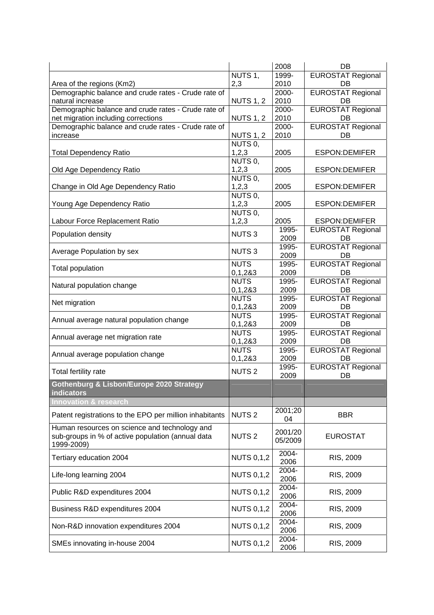|                                                         |                   | 2008    | DB                       |
|---------------------------------------------------------|-------------------|---------|--------------------------|
|                                                         | NUTS 1,           | 1999-   | <b>EUROSTAT Regional</b> |
| Area of the regions (Km2)                               | 2,3               | 2010    | DB                       |
| Demographic balance and crude rates - Crude rate of     |                   | 2000-   | <b>EUROSTAT Regional</b> |
| natural increase                                        | <b>NUTS 1, 2</b>  | 2010    | DB                       |
| Demographic balance and crude rates - Crude rate of     |                   | 2000-   | <b>EUROSTAT Regional</b> |
| net migration including corrections                     | <b>NUTS 1, 2</b>  | 2010    | DB                       |
| Demographic balance and crude rates - Crude rate of     |                   | 2000-   | <b>EUROSTAT Regional</b> |
| increase                                                | <b>NUTS 1, 2</b>  | 2010    | DB                       |
|                                                         | NUTS 0,           |         |                          |
| <b>Total Dependency Ratio</b>                           | 1,2,3             | 2005    | <b>ESPON:DEMIFER</b>     |
|                                                         | NUTS 0,           |         |                          |
| Old Age Dependency Ratio                                | 1,2,3             | 2005    | <b>ESPON:DEMIFER</b>     |
|                                                         | NUTS <sub>0</sub> |         |                          |
| Change in Old Age Dependency Ratio                      | 1, 2, 3           | 2005    | <b>ESPON:DEMIFER</b>     |
|                                                         | NUTS <sub>0</sub> |         |                          |
| Young Age Dependency Ratio                              | 1,2,3             | 2005    | <b>ESPON:DEMIFER</b>     |
|                                                         | NUTS <sub>0</sub> |         |                          |
| Labour Force Replacement Ratio                          | 1,2,3             | 2005    | <b>ESPON:DEMIFER</b>     |
|                                                         |                   | 1995-   | <b>EUROSTAT Regional</b> |
| Population density                                      | <b>NUTS3</b>      | 2009    | DB                       |
|                                                         |                   | 1995-   | <b>EUROSTAT Regional</b> |
| Average Population by sex                               | <b>NUTS3</b>      | 2009    | DB                       |
|                                                         | <b>NUTS</b>       | 1995-   | <b>EUROSTAT Regional</b> |
| Total population                                        | 0,1,283           | 2009    | DB                       |
|                                                         | <b>NUTS</b>       | 1995-   | <b>EUROSTAT Regional</b> |
| Natural population change                               | 0,1,283           | 2009    | DB                       |
|                                                         | <b>NUTS</b>       | 1995-   | <b>EUROSTAT Regional</b> |
| Net migration                                           | 0,1,283           | 2009    | DB                       |
|                                                         | <b>NUTS</b>       | 1995-   | <b>EUROSTAT Regional</b> |
| Annual average natural population change                | 0,1,283           | 2009    | DB                       |
|                                                         | <b>NUTS</b>       | 1995-   | <b>EUROSTAT Regional</b> |
| Annual average net migration rate                       | 0,1,283           | 2009    | DB                       |
|                                                         | <b>NUTS</b>       | 1995-   | <b>EUROSTAT Regional</b> |
| Annual average population change                        | 0,1,283           | 2009    | DB                       |
|                                                         |                   | 1995-   | <b>EUROSTAT Regional</b> |
| Total fertility rate                                    | <b>NUTS2</b>      | 2009    | DB                       |
| Gothenburg & Lisbon/Europe 2020 Strategy                |                   |         |                          |
| indicators                                              |                   |         |                          |
| <b>Innovation &amp; research</b>                        |                   |         |                          |
|                                                         |                   | 2001;20 |                          |
| Patent registrations to the EPO per million inhabitants | <b>NUTS2</b>      | 04      | <b>BBR</b>               |
| Human resources on science and technology and           |                   |         |                          |
| sub-groups in % of active population (annual data       | <b>NUTS2</b>      | 2001/20 | <b>EUROSTAT</b>          |
| 1999-2009)                                              |                   | 05/2009 |                          |
|                                                         |                   | 2004-   |                          |
| Tertiary education 2004                                 | <b>NUTS 0,1,2</b> |         | RIS, 2009                |
|                                                         |                   | 2006    |                          |
| Life-long learning 2004                                 | <b>NUTS 0,1,2</b> | 2004-   | RIS, 2009                |
|                                                         |                   | 2006    |                          |
| Public R&D expenditures 2004                            | <b>NUTS 0,1,2</b> | 2004-   | RIS, 2009                |
|                                                         |                   | 2006    |                          |
| Business R&D expenditures 2004                          | <b>NUTS 0,1,2</b> | 2004-   | RIS, 2009                |
|                                                         |                   | 2006    |                          |
| Non-R&D innovation expenditures 2004                    | <b>NUTS 0,1,2</b> | 2004-   | RIS, 2009                |
|                                                         |                   | 2006    |                          |
| SMEs innovating in-house 2004                           | <b>NUTS 0,1,2</b> | 2004-   | RIS, 2009                |
|                                                         |                   | 2006    |                          |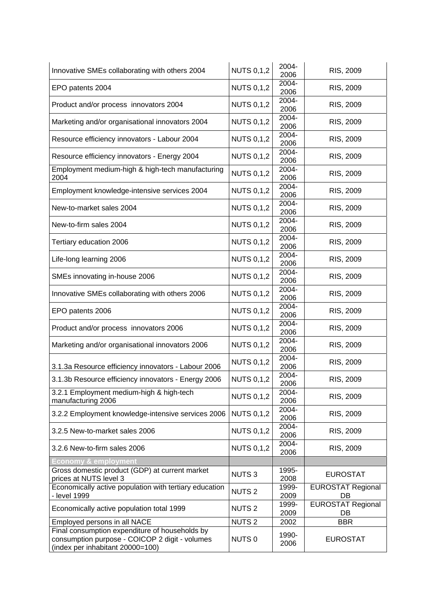| Innovative SMEs collaborating with others 2004                                                                                       | <b>NUTS 0,1,2</b> | 2004-<br>2006 | RIS, 2009                      |  |  |  |  |
|--------------------------------------------------------------------------------------------------------------------------------------|-------------------|---------------|--------------------------------|--|--|--|--|
| EPO patents 2004                                                                                                                     | <b>NUTS 0,1,2</b> | 2004-<br>2006 | RIS, 2009                      |  |  |  |  |
| Product and/or process innovators 2004                                                                                               | <b>NUTS 0,1,2</b> | 2004-<br>2006 | RIS, 2009                      |  |  |  |  |
| Marketing and/or organisational innovators 2004                                                                                      | <b>NUTS 0,1,2</b> | 2004-<br>2006 | RIS, 2009                      |  |  |  |  |
| Resource efficiency innovators - Labour 2004                                                                                         | <b>NUTS 0,1,2</b> | 2004-<br>2006 | RIS, 2009                      |  |  |  |  |
| Resource efficiency innovators - Energy 2004                                                                                         | <b>NUTS 0,1,2</b> | 2004-<br>2006 | RIS, 2009                      |  |  |  |  |
| Employment medium-high & high-tech manufacturing<br>2004                                                                             | <b>NUTS 0,1,2</b> | 2004-<br>2006 | RIS, 2009                      |  |  |  |  |
| Employment knowledge-intensive services 2004                                                                                         | <b>NUTS 0,1,2</b> | 2004-<br>2006 | RIS, 2009                      |  |  |  |  |
| New-to-market sales 2004                                                                                                             | <b>NUTS 0,1,2</b> | 2004-<br>2006 | RIS, 2009                      |  |  |  |  |
| New-to-firm sales 2004                                                                                                               | <b>NUTS 0,1,2</b> | 2004-<br>2006 | RIS, 2009                      |  |  |  |  |
| Tertiary education 2006                                                                                                              | <b>NUTS 0,1,2</b> | 2004-<br>2006 | RIS, 2009                      |  |  |  |  |
| Life-long learning 2006                                                                                                              | <b>NUTS 0,1,2</b> | 2004-<br>2006 | RIS, 2009                      |  |  |  |  |
| SMEs innovating in-house 2006                                                                                                        | <b>NUTS 0,1,2</b> | 2004-<br>2006 | RIS, 2009                      |  |  |  |  |
| Innovative SMEs collaborating with others 2006                                                                                       | <b>NUTS 0,1,2</b> | 2004-<br>2006 | RIS, 2009                      |  |  |  |  |
| EPO patents 2006                                                                                                                     | <b>NUTS 0,1,2</b> | 2004-<br>2006 | RIS, 2009                      |  |  |  |  |
| Product and/or process innovators 2006                                                                                               | <b>NUTS 0,1,2</b> | 2004-<br>2006 | RIS, 2009                      |  |  |  |  |
| Marketing and/or organisational innovators 2006                                                                                      | <b>NUTS 0,1,2</b> | 2004-<br>2006 | RIS, 2009                      |  |  |  |  |
| 3.1.3a Resource efficiency innovators - Labour 2006                                                                                  | <b>NUTS 0,1,2</b> | 2004-<br>2006 | RIS, 2009                      |  |  |  |  |
| 3.1.3b Resource efficiency innovators - Energy 2006                                                                                  | <b>NUTS 0,1,2</b> | 2004-<br>2006 | RIS, 2009                      |  |  |  |  |
| 3.2.1 Employment medium-high & high-tech<br>manufacturing 2006                                                                       | <b>NUTS 0,1,2</b> | 2004-<br>2006 | RIS, 2009                      |  |  |  |  |
| 3.2.2 Employment knowledge-intensive services 2006                                                                                   | <b>NUTS 0,1,2</b> | 2004-<br>2006 | RIS, 2009                      |  |  |  |  |
| 3.2.5 New-to-market sales 2006                                                                                                       | <b>NUTS 0,1,2</b> | 2004-<br>2006 | RIS, 2009                      |  |  |  |  |
| 3.2.6 New-to-firm sales 2006                                                                                                         | <b>NUTS 0,1,2</b> | 2004-<br>2006 | RIS, 2009                      |  |  |  |  |
| <b>Economy &amp; employmen</b>                                                                                                       |                   |               |                                |  |  |  |  |
| Gross domestic product (GDP) at current market                                                                                       | <b>NUTS3</b>      | 1995-         | <b>EUROSTAT</b>                |  |  |  |  |
| prices at NUTS level 3                                                                                                               |                   | 2008          |                                |  |  |  |  |
| Economically active population with tertiary education<br>- level 1999                                                               | <b>NUTS2</b>      | 1999-<br>2009 | <b>EUROSTAT Regional</b><br>DB |  |  |  |  |
| Economically active population total 1999                                                                                            | <b>NUTS2</b>      | 1999-<br>2009 | <b>EUROSTAT Regional</b><br>DB |  |  |  |  |
| Employed persons in all NACE                                                                                                         | <b>NUTS2</b>      | 2002          | <b>BBR</b>                     |  |  |  |  |
| Final consumption expenditure of households by<br>consumption purpose - COICOP 2 digit - volumes<br>(index per inhabitant 20000=100) | NUTS <sub>0</sub> | 1990-<br>2006 | <b>EUROSTAT</b>                |  |  |  |  |